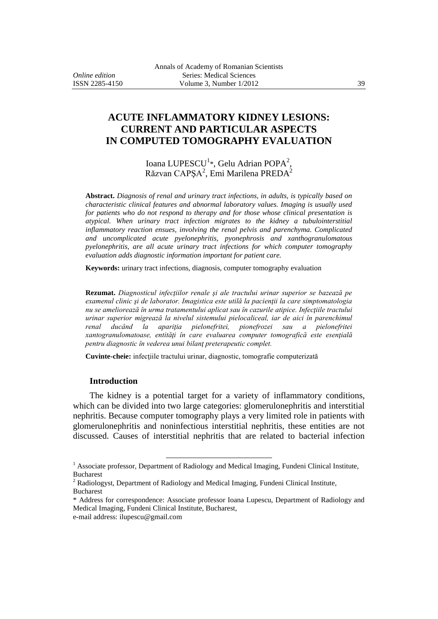## **ACUTE INFLAMMATORY KIDNEY LESIONS: CURRENT AND PARTICULAR ASPECTS IN COMPUTED TOMOGRAPHY EVALUATION**

Ioana LUPESCU<sup>1</sup>\*, Gelu Adrian POPA<sup>2</sup>, Răzvan CAPȘ $A^2$ , Emi Marilena PRED $A^2$ 

**Abstract.** *Diagnosis of renal and urinary tract infections, in adults, is typically based on characteristic clinical features and abnormal laboratory values. Imaging is usually used for patients who do not respond to therapy and for those whose clinical presentation is atypical. When urinary tract infection migrates to the kidney a tubulointerstitial inflammatory reaction ensues, involving the renal pelvis and parenchyma. Complicated and uncomplicated acute pyelonephritis, pyonephrosis and xanthogranulomatous pyelonephritis, are all acute urinary tract infections for which computer tomography evaluation adds diagnostic information important for patient care.*

**Keywords:** urinary tract infections, diagnosis, computer tomography evaluation

**Rezumat.** *Diagnosticul infecţiilor renale şi ale tractului urinar superior se bazează pe examenul clinic şi de laborator. Imagistica este utilă la pacienţii la care simptomatologia nu se ameliorează în urma tratamentului aplicat sau în cazurile atipice. Infecţiile tractului urinar superior migrează la nivelul sistemului pielocaliceal, iar de aici în parenchimul renal ducând la apariţia pielonefritei, pionefrozei sau a pielonefritei xantogranulomatoase, entităţi în care evaluarea computer tomografică este esenţială pentru diagnostic în vederea unui bilanţ preterapeutic complet.*

**Cuvinte-cheie:** infecţiile tractului urinar, diagnostic, tomografie computerizată

## **Introduction**

The kidney is a potential target for a variety of inflammatory conditions, which can be divided into two large categories: glomerulonephritis and interstitial nephritis. Because computer tomography plays a very limited role in patients with glomerulonephritis and noninfectious interstitial nephritis, these entities are not discussed. Causes of interstitial nephritis that are related to bacterial infection

 $\overline{a}$ 

<sup>&</sup>lt;sup>1</sup> Associate professor, Department of Radiology and Medical Imaging, Fundeni Clinical Institute, Bucharest

<sup>&</sup>lt;sup>2</sup> Radiologyst, Department of Radiology and Medical Imaging, Fundeni Clinical Institute, Bucharest

<sup>\*</sup> Address for correspondence: Associate professor Ioana Lupescu, Department of Radiology and Medical Imaging, Fundeni Clinical Institute, Bucharest,

e-mail address: ilupescu@gmail.com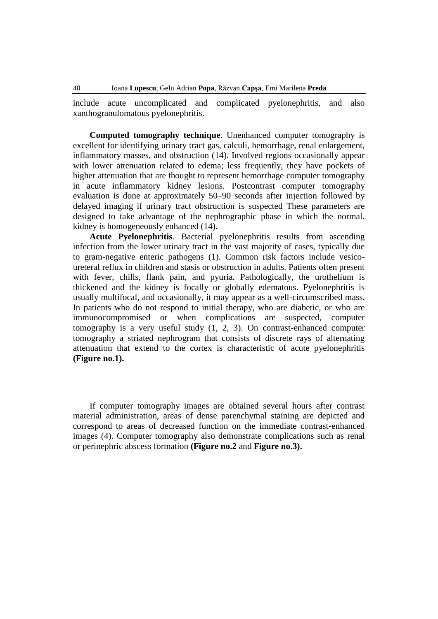include acute uncomplicated and complicated pyelonephritis, and also xanthogranulomatous pyelonephritis.

**Computed tomography technique**. Unenhanced computer tomography is excellent for identifying urinary tract gas, calculi, hemorrhage, renal enlargement, inflammatory masses, and obstruction (14). Involved regions occasionally appear with lower attenuation related to edema; less frequently, they have pockets of higher attenuation that are thought to represent hemorrhage computer tomography in acute inflammatory kidney lesions. Postcontrast computer tomography evaluation is done at approximately 50–90 seconds after injection followed by delayed imaging if urinary tract obstruction is suspected These parameters are designed to take advantage of the nephrographic phase in which the normal. kidney is homogeneously enhanced (14).

**Acute Pyelonephritis**. Bacterial pyelonephritis results from ascending infection from the lower urinary tract in the vast majority of cases, typically due to gram-negative enteric pathogens (1). Common risk factors include vesicoureteral reflux in children and stasis or obstruction in adults. Patients often present with fever, chills, flank pain, and pyuria. Pathologically, the urothelium is thickened and the kidney is focally or globally edematous. Pyelonephritis is usually multifocal, and occasionally, it may appear as a well-circumscribed mass. In patients who do not respond to initial therapy, who are diabetic, or who are immunocompromised or when complications are suspected, computer tomography is a very useful study (1, 2, 3). On contrast-enhanced computer tomography a striated nephrogram that consists of discrete rays of alternating attenuation that extend to the cortex is characteristic of acute pyelonephritis **(Figure no.1).**

If computer tomography images are obtained several hours after contrast material administration, areas of dense parenchymal staining are depicted and correspond to areas of decreased function on the immediate contrast-enhanced images (4). Computer tomography also demonstrate complications such as renal or perinephric abscess formation **(Figure no.2** and **Figure no.3).**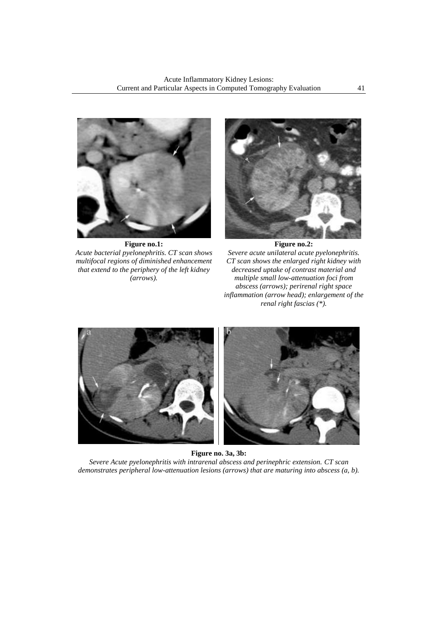

**Figure no.1:**  *Acute bacterial pyelonephritis. CT scan shows multifocal regions of diminished enhancement that extend to the periphery of the left kidney (arrows).*



**Figure no.2:** *Severe acute unilateral acute pyelonephritis. CT scan shows the enlarged right kidney with decreased uptake of contrast material and multiple small low-attenuation foci from abscess (arrows); perirenal right space inflammation (arrow head); enlargement of the renal right fascias (\*).*



**Figure no. 3a, 3b:** *Severe Acute pyelonephritis with intrarenal abscess and perinephric extension. CT scan demonstrates peripheral low-attenuation lesions (arrows) that are maturing into abscess (a, b).*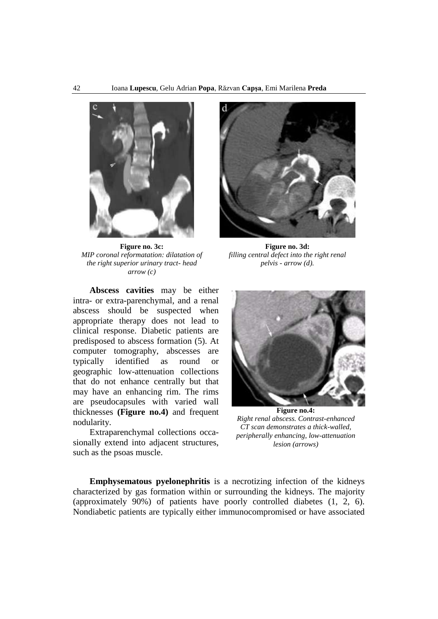

**Figure no. 3c:** *MIP coronal reformatation: dilatation of the right superior urinary tract- head arrow (c)*



**Figure no. 3d:** *filling central defect into the right renal pelvis - arrow (d).*

**Abscess cavities** may be either intra- or extra-parenchymal, and a renal abscess should be suspected when appropriate therapy does not lead to clinical response. Diabetic patients are predisposed to abscess formation (5). At computer tomography, abscesses are typically identified as round or geographic low-attenuation collections that do not enhance centrally but that may have an enhancing rim. The rims are pseudocapsules with varied wall thicknesses **(Figure no.4)** and frequent nodularity.

Extraparenchymal collections occasionally extend into adjacent structures, such as the psoas muscle.



**Figure no.4:**  *Right renal abscess. Contrast-enhanced CT scan demonstrates a thick-walled, peripherally enhancing, low-attenuation lesion (arrows)*

**Emphysematous pyelonephritis** is a necrotizing infection of the kidneys characterized by gas formation within or surrounding the kidneys. The majority (approximately 90%) of patients have poorly controlled diabetes (1, 2, 6). Nondiabetic patients are typically either immunocompromised or have associated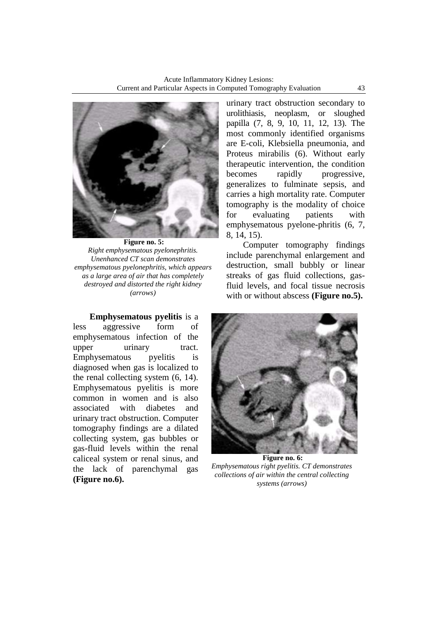

**Figure no. 5:** *Right emphysematous pyelonephritis. Unenhanced CT scan demonstrates emphysematous pyelonephritis, which appears as a large area of air that has completely destroyed and distorted the right kidney (arrows)*

**Emphysematous pyelitis** is a less aggressive form of emphysematous infection of the upper urinary tract. Emphysematous pyelitis is diagnosed when gas is localized to the renal collecting system (6, 14). Emphysematous pyelitis is more common in women and is also associated with diabetes and urinary tract obstruction. Computer tomography findings are a dilated collecting system, gas bubbles or gas-fluid levels within the renal caliceal system or renal sinus, and the lack of parenchymal gas **(Figure no.6).** 

urinary tract obstruction secondary to urolithiasis, neoplasm, or sloughed papilla (7, 8, 9, 10, 11, 12, 13). The most commonly identified organisms are E-coli, Klebsiella pneumonia, and Proteus mirabilis (6). Without early therapeutic intervention, the condition becomes rapidly progressive, generalizes to fulminate sepsis, and carries a high mortality rate. Computer tomography is the modality of choice for evaluating patients with emphysematous pyelone-phritis (6, 7, 8, 14, 15).

Computer tomography findings include parenchymal enlargement and destruction, small bubbly or linear streaks of gas fluid collections, gasfluid levels, and focal tissue necrosis with or without abscess **(Figure no.5).**



**Figure no. 6:** *Emphysematous right pyelitis. CT demonstrates collections of air within the central collecting systems (arrows)*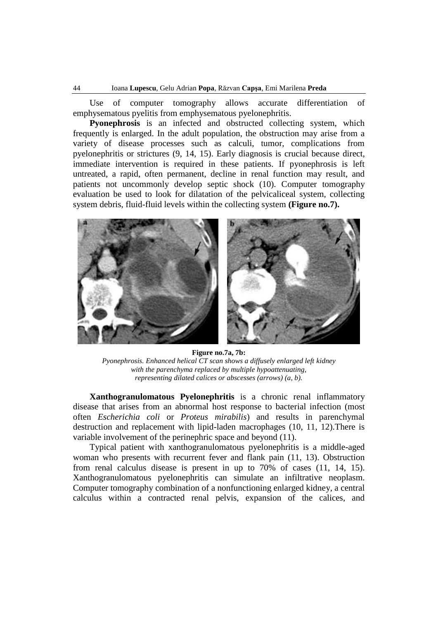Use of computer tomography allows accurate differentiation of emphysematous pyelitis from emphysematous pyelonephritis.

**Pyonephrosis** is an infected and obstructed collecting system, which frequently is enlarged. In the adult population, the obstruction may arise from a variety of disease processes such as calculi, tumor, complications from pyelonephritis or strictures (9, 14, 15). Early diagnosis is crucial because direct, immediate intervention is required in these patients. If pyonephrosis is left untreated, a rapid, often permanent, decline in renal function may result, and patients not uncommonly develop septic shock (10). Computer tomography evaluation be used to look for dilatation of the pelvicaliceal system, collecting system debris, fluid-fluid levels within the collecting system **(Figure no.7).**



**Figure no.7a, 7b:** *Pyonephrosis. Enhanced helical CT scan shows a diffusely enlarged left kidney with the parenchyma replaced by multiple hypoattenuating, representing dilated calices or abscesses (arrows) (a, b).*

**Xanthogranulomatous Pyelonephritis** is a chronic renal inflammatory disease that arises from an abnormal host response to bacterial infection (most often *Escherichia coli* or *Proteus mirabilis*) and results in parenchymal destruction and replacement with lipid-laden macrophages (10, 11, 12).There is variable involvement of the perinephric space and beyond (11).

Typical patient with xanthogranulomatous pyelonephritis is a middle-aged woman who presents with recurrent fever and flank pain (11, 13). Obstruction from renal calculus disease is present in up to 70% of cases (11, 14, 15). Xanthogranulomatous pyelonephritis can simulate an infiltrative neoplasm. Computer tomography combination of a nonfunctioning enlarged kidney, a central calculus within a contracted renal pelvis, expansion of the calices, and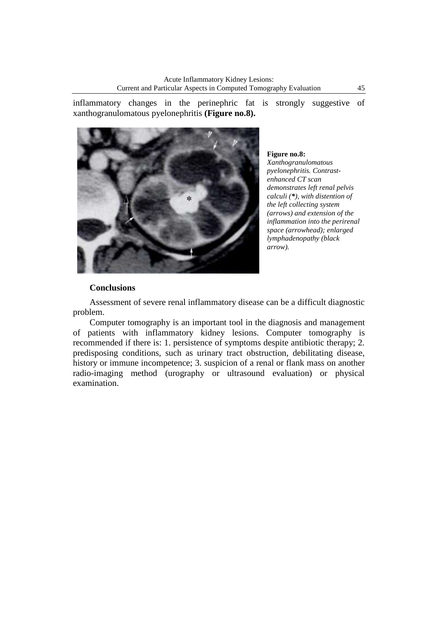inflammatory changes in the perinephric fat is strongly suggestive of xanthogranulomatous pyelonephritis **(Figure no.8).**



**Figure no.8:** 

*Xanthogranulomatous pyelonephritis. Contrastenhanced CT scan demonstrates left renal pelvis calculi (\*), with distention of the left collecting system (arrows) and extension of the inflammation into the perirenal space (arrowhead); enlarged lymphadenopathy (black arrow).*

## **Conclusions**

Assessment of severe renal inflammatory disease can be a difficult diagnostic problem.

Computer tomography is an important tool in the diagnosis and management of patients with inflammatory kidney lesions. Computer tomography is recommended if there is: 1. persistence of symptoms despite antibiotic therapy; 2. predisposing conditions, such as urinary tract obstruction, debilitating disease, history or immune incompetence; 3. suspicion of a renal or flank mass on another radio-imaging method (urography or ultrasound evaluation) or physical examination.